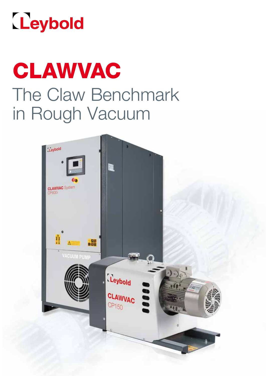

# CLAWVAC The Claw Benchmark in Rough Vacuum

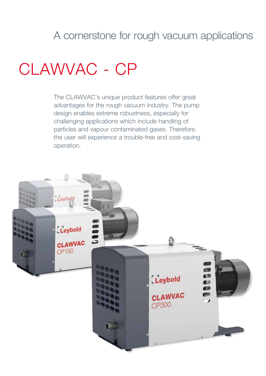### A cornerstone for rough vacuum applications

## CLAWVAC - CP

The CLAWVAC's unique product features offer great advantages for the rough vacuum industry. The pump design enables extreme robustness, especially for challenging applications which include handling of particles and vapour contaminated gases. Therefore, the user will experience a trouble-free and cost-saving operation.

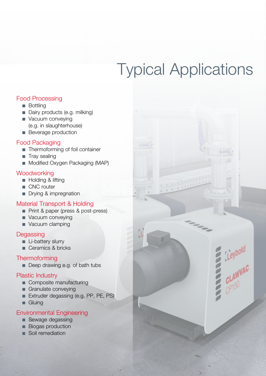## Typical Applications

E Lieybold<br>E CLAWVAC

#### Food Processing

- **n** Bottling
- Dairy products (e.g. milking)
- Vacuum conveying (e.g. in slaughterhouse)
- **Beverage production**

#### Food Packaging

- Thermoforming of foil container
- $\blacksquare$  Tray sealing
- **n** Modified Oxygen Packaging (MAP)

#### **Woodworking**

- **Holding & lifting**
- CNC router
- **n** Drying & impregnation

#### Material Transport & Holding

- Print & paper (press & post-press)
- vacuum conveying
- vacuum clamping

#### **Degassing**

- **n** Li-battery slurry
- Ceramics & bricks

#### **Thermoforming**

Deep drawing e.g. of bath tubs

#### Plastic Industry

- Composite manufacturing
- $\blacksquare$  Granulate conveying
- **n** Extruder degassing (e.g. PP, PE, PS)
- **n** Gluing

#### Environmental Engineering

- **n** Sewage degassing
- **n** Biogas production
- **n** Soil remediation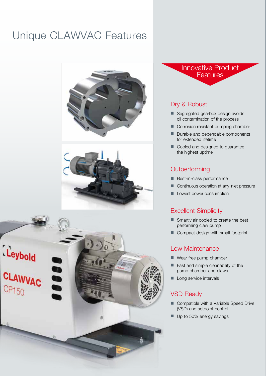## Unique CLAWVAC Features







Innovative Product **Features** 

#### Dry & Robust

- Segregated gearbox design avoids oil contamination of the process
- **n** Corrosion resistant pumping chamber
- Durable and dependable components for extended lifetime
- Cooled and designed to guarantee the highest uptime

#### **Outperforming**

- Best-in-class performance
- **n** Continuous operation at any inlet pressure
- **n** Lowest power consumption

#### Excellent Simplicity

- $\blacksquare$  Smartly air cooled to create the best performing claw pump
- $\blacksquare$  Compact design with small footprint

#### Low Maintenance

- $\blacksquare$  Wear free pump chamber
- $\blacksquare$  Fast and simple cleanability of the pump chamber and claws
- **Long service intervals**

#### VSD Ready

- Compatible with a Variable Speed Drive (VSD) and setpoint control
- $\blacksquare$  Up to 50% energy savings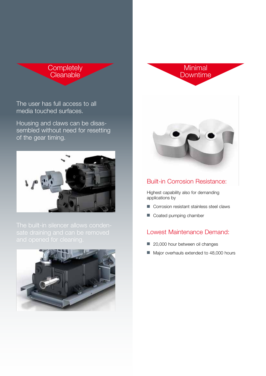

**Minimal Downtime** 

The user has full access to all media touched surfaces.

Housing and claws can be disassembled without need for resetting of the gear timing.







#### Built-in Corrosion Resistance:

Highest capability also for demanding applications by

- $\blacksquare$  Corrosion resistant stainless steel claws
- Coated pumping chamber

u.

#### Lowest Maintenance Demand:

- 20,000 hour between oil changes
- Major overhauls extended to 48,000 hours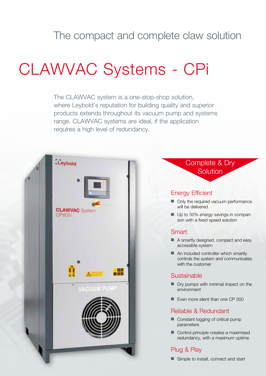## The compact and complete claw solution

## CLAWVAC Systems - CPi

The CLAWVAC system is a one-stop-shop solution, where Leybold's reputation for building quality and superior products extends throughout its vacuum pump and systems range. CLAWVAC systems are ideal, if the application requires a high level of redundancy.

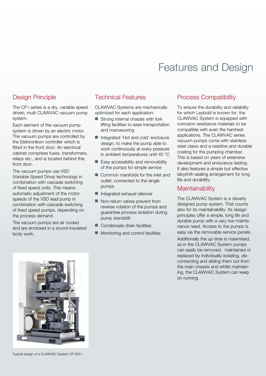### Features and Design

#### Design Principle

The CP i series is a dry, variable speed driven, multi CLAWVAC vacuum pump system.

Each element of the vacuum pump system is driven by an electric motor. The vacuum pumps are controlled by the Elektronikon controller which is fitted in the front door. An electrical cabinet comprises fuses, transformers, relays etc., and is located behind this front door.

The vacuum pumps use VSD (Variable Speed Drive) technology in combination with cascade switching of fixed speed units. This means: automatic adjustment of the motor speeds of the VSD lead pump in combination with cascade switching of fixed speed pumps, depending on the process demand.

The vacuum pumps are air cooled and are enclosed in a sound-insulated body work.

#### Technical Features

CLAWVAC Systems are mechanically optimized for each application:

- $\blacksquare$  Strong internal chassis with fork lifting facilities to ease transportation and manoeuvring
- Integrated 'Hot and cold' enclosure design, to make the pump able to work continuously at every pressure in ambient temperatures until 40 °C
- $\blacksquare$  Easy accessibility and removability of the pumps for simple service
- $\blacksquare$  Common manifolds for the inlet and outlet, connected to the single pumps
- $\blacksquare$  Integrated exhaust silencer
- $\blacksquare$  Non-return valves prevent from reverse rotation of the pumps and guarantee process isolation during pump standstill
- $\blacksquare$  Condensate drain facilities
- $\blacksquare$  Monitoring and control facilities

#### Process Compatibility

To ensure the durability and reliability for which Leybold is known for, the CLAWVAC System is equipped with corrosion resistance materials to be compatible with even the harshest applications. The CLAWVAC series vacuum pumps come with stainless steel claws and a resistive and durable coating for the pumping chamber. This is based on years of extensive development and endurance testing. It also features a simple but effective labyrinth sealing arrangement for long life and durability.

#### **Maintainability**

The CLAWVAC System is a cleverly designed pump system. That counts also for its maintainability. Its design principles offer a simple, long life and durable pump with a very low maintenance need. Access to the pumps is easy via the removable service panels. Additionally the up-time is maximised, as in the CLAWVAC System pumps can easily be removed, maintained or replaced by individually isolating, disconnecting and sliding them out from the main chassis and whilst maintaining, the CLAWVAC System can keep on running.



Typical design of a CLAWVAC System CP 600 i